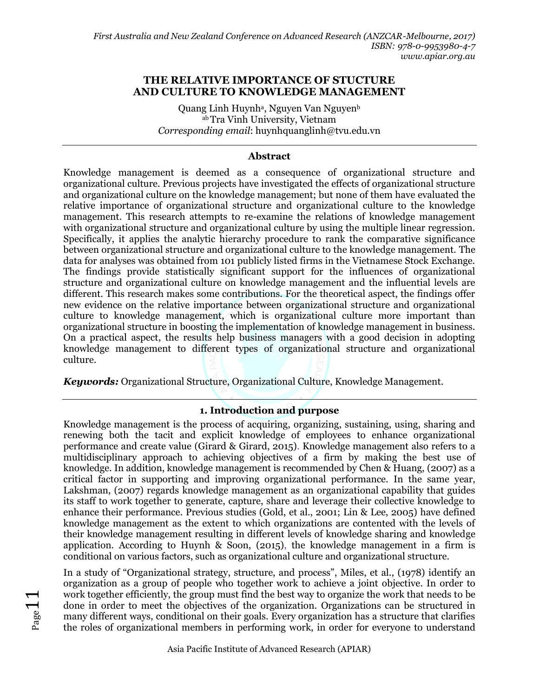#### **THE RELATIVE IMPORTANCE OF STUCTURE AND CULTURE TO KNOWLEDGE MANAGEMENT**

Quang Linh Huynhª, Nguyen Van Nguyen<sup>b</sup> ab Tra Vinh University, Vietnam *Corresponding email*: huynhquanglinh@tvu.edu.vn

#### **Abstract**

Knowledge management is deemed as a consequence of organizational structure and organizational culture. Previous projects have investigated the effects of organizational structure and organizational culture on the knowledge management; but none of them have evaluated the relative importance of organizational structure and organizational culture to the knowledge management. This research attempts to re-examine the relations of knowledge management with organizational structure and organizational culture by using the multiple linear regression. Specifically, it applies the analytic hierarchy procedure to rank the comparative significance between organizational structure and organizational culture to the knowledge management. The data for analyses was obtained from 101 publicly listed firms in the Vietnamese Stock Exchange. The findings provide statistically significant support for the influences of organizational structure and organizational culture on knowledge management and the influential levels are different. This research makes some contributions. For the theoretical aspect, the findings offer new evidence on the relative importance between organizational structure and organizational culture to knowledge management, which is organizational culture more important than organizational structure in boosting the implementation of knowledge management in business. On a practical aspect, the results help business managers with a good decision in adopting knowledge management to different types of organizational structure and organizational culture.

*Keywords:* Organizational Structure, Organizational Culture, Knowledge Management.

# **1. Introduction and purpose**

Knowledge management is the process of acquiring, organizing, sustaining, using, sharing and renewing both the tacit and explicit knowledge of employees to enhance organizational performance and create value (Girard & Girard, 2015). Knowledge management also refers to a multidisciplinary approach to achieving objectives of a firm by making the best use of knowledge. In addition, knowledge management is recommended by Chen & Huang, (2007) as a critical factor in supporting and improving organizational performance. In the same year, Lakshman, (2007) regards knowledge management as an organizational capability that guides its staff to work together to generate, capture, share and leverage their collective knowledge to enhance their performance. Previous studies (Gold, et al., 2001; Lin & Lee, 2005) have defined knowledge management as the extent to which organizations are contented with the levels of their knowledge management resulting in different levels of knowledge sharing and knowledge application. According to Huynh & Soon,  $(2015)$ , the knowledge management in a firm is conditional on various factors, such as organizational culture and organizational structure.

In a study of "Organizational strategy, structure, and process", Miles, et al., (1978) identify an organization as a group of people who together work to achieve a joint objective. In order to work together efficiently, the group must find the best way to organize the work that needs to be done in order to meet the objectives of the organization. Organizations can be structured in many different ways, conditional on their goals. Every organization has a structure that clarifies the roles of organizational members in performing work, in order for everyone to understand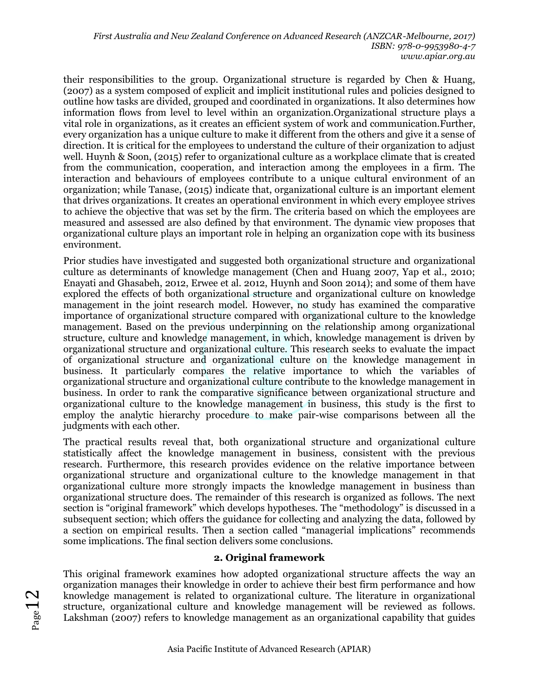their responsibilities to the group. Organizational structure is regarded by Chen & Huang, (2007) as a system composed of explicit and implicit institutional rules and policies designed to outline how tasks are divided, grouped and coordinated in organizations. It also determines how information flows from level to level within an organization.Organizational structure plays a vital role in organizations, as it creates an efficient system of work and communication.Further, every organization has a unique culture to make it different from the others and give it a sense of direction. It is critical for the employees to understand the culture of their organization to adjust well. Huynh & Soon, (2015) refer to organizational culture as a workplace climate that is created from the communication, cooperation, and interaction among the employees in a firm. The interaction and behaviours of employees contribute to a unique cultural environment of an organization; while Tanase, (2015) indicate that, organizational culture is an important element that drives organizations. It creates an operational environment in which every employee strives to achieve the objective that was set by the firm. The criteria based on which the employees are measured and assessed are also defined by that environment. The dynamic view proposes that organizational culture plays an important role in helping an organization cope with its business environment.

Prior studies have investigated and suggested both organizational structure and organizational culture as determinants of knowledge management (Chen and Huang 2007, Yap et al., 2010; Enayati and Ghasabeh, 2012, Erwee et al. 2012, Huynh and Soon 2014); and some of them have explored the effects of both organizational structure and organizational culture on knowledge management in the joint research model. However, no study has examined the comparative importance of organizational structure compared with organizational culture to the knowledge management. Based on the previous underpinning on the relationship among organizational structure, culture and knowledge management, in which, knowledge management is driven by organizational structure and organizational culture. This research seeks to evaluate the impact of organizational structure and organizational culture on the knowledge management in business. It particularly compares the relative importance to which the variables of organizational structure and organizational culture contribute to the knowledge management in business. In order to rank the comparative significance between organizational structure and organizational culture to the knowledge management in business, this study is the first to employ the analytic hierarchy procedure to make pair-wise comparisons between all the judgments with each other.

The practical results reveal that, both organizational structure and organizational culture statistically affect the knowledge management in business, consistent with the previous research. Furthermore, this research provides evidence on the relative importance between organizational structure and organizational culture to the knowledge management in that organizational culture more strongly impacts the knowledge management in business than organizational structure does. The remainder of this research is organized as follows. The next section is "original framework" which develops hypotheses. The "methodology" is discussed in a subsequent section; which offers the guidance for collecting and analyzing the data, followed by a section on empirical results. Then a section called "managerial implications" recommends some implications. The final section delivers some conclusions.

# **2. Original framework**

This original framework examines how adopted organizational structure affects the way an organization manages their knowledge in order to achieve their best firm performance and how knowledge management is related to organizational culture. The literature in organizational structure, organizational culture and knowledge management will be reviewed as follows. Lakshman (2007) refers to knowledge management as an organizational capability that guides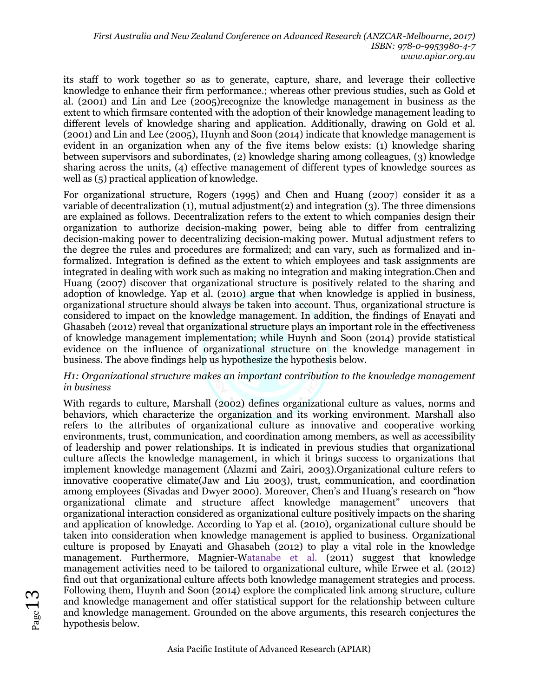its staff to work together so as to generate, capture, share, and leverage their collective knowledge to enhance their firm performance.; whereas other previous studies, such as Gold et al. (2001) and Lin and Lee (2005)recognize the knowledge management in business as the extent to which firmsare contented with the adoption of their knowledge management leading to different levels of knowledge sharing and application. Additionally, drawing on Gold et al. (2001) and Lin and Lee (2005), Huynh and Soon (2014) indicate that knowledge management is evident in an organization when any of the five items below exists: (1) knowledge sharing between supervisors and subordinates, (2) knowledge sharing among colleagues, (3) knowledge sharing across the units, (4) effective management of different types of knowledge sources as well as (5) practical application of knowledge.

For organizational structure, Rogers (1995) and Chen and Huang (2007) consider it as a variable of decentralization (1), mutual adjustment(2) and integration (3). The three dimensions are explained as follows. Decentralization refers to the extent to which companies design their organization to authorize decision-making power, being able to differ from centralizing decision-making power to decentralizing decision-making power. Mutual adjustment refers to the degree the rules and procedures are formalized; and can vary, such as formalized and informalized. Integration is defined as the extent to which employees and task assignments are integrated in dealing with work such as making no integration and making integration.Chen and Huang (2007) discover that organizational structure is positively related to the sharing and adoption of knowledge. Yap et al. (2010) argue that when knowledge is applied in business, organizational structure should always be taken into account. Thus, organizational structure is considered to impact on the knowledge management. In addition, the findings of Enayati and Ghasabeh (2012) reveal that organizational structure plays an important role in the effectiveness of knowledge management implementation; while Huynh and Soon (2014) provide statistical evidence on the influence of organizational structure on the knowledge management in business. The above findings help us hypothesize the hypothesis below.

#### *H1: Organizational structure makes an important contribution to the knowledge management in business*

With regards to culture, Marshall (2002) defines organizational culture as values, norms and behaviors, which characterize the organization and its working environment. Marshall also refers to the attributes of organizational culture as innovative and cooperative working environments, trust, communication, and coordination among members, as well as accessibility of leadership and power relationships. It is indicated in previous studies that organizational culture affects the knowledge management, in which it brings success to organizations that implement knowledge management (Alazmi and Zairi, 2003).Organizational culture refers to innovative cooperative climate(Jaw and Liu 2003), trust, communication, and coordination among employees (Sivadas and Dwyer 2000). Moreover, Chen's and Huang's research on "how organizational climate and structure affect knowledge management" uncovers that organizational interaction considered as organizational culture positively impacts on the sharing and application of knowledge. According to Yap et al. (2010), organizational culture should be taken into consideration when knowledge management is applied to business. Organizational culture is proposed by Enayati and Ghasabeh (2012) to play a vital role in the knowledge management. Furthermore, Magnier-Watanabe et al. (2011) suggest that knowledge management activities need to be tailored to organizational culture, while Erwee et al. (2012) find out that organizational culture affects both knowledge management strategies and process. Following them, Huynh and Soon (2014) explore the complicated link among structure, culture and knowledge management and offer statistical support for the relationship between culture and knowledge management. Grounded on the above arguments, this research conjectures the hypothesis below.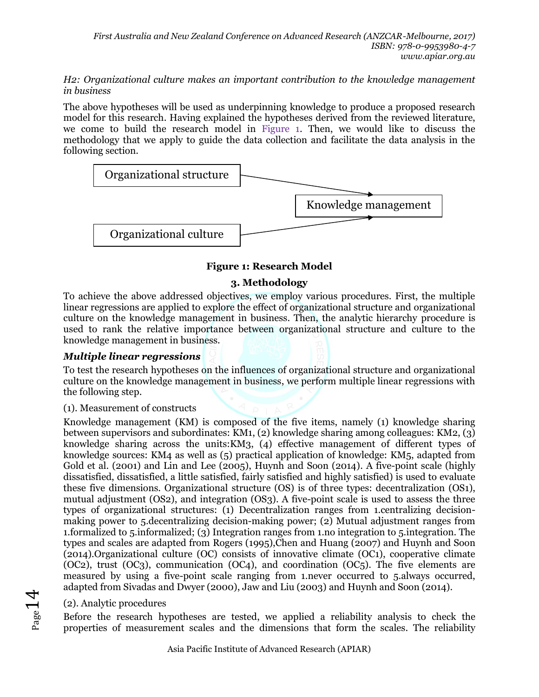#### *H2: Organizational culture makes an important contribution to the knowledge management in business*

The above hypotheses will be used as underpinning knowledge to produce a proposed research model for this research. Having explained the hypotheses derived from the reviewed literature, we come to build the research model in Figure 1. Then, we would like to discuss the methodology that we apply to guide the data collection and facilitate the data analysis in the following section.



# **Figure 1: Research Model**

#### **3. Methodology**

To achieve the above addressed objectives, we employ various procedures. First, the multiple linear regressions are applied to explore the effect of organizational structure and organizational culture on the knowledge management in business. Then, the analytic hierarchy procedure is used to rank the relative importance between organizational structure and culture to the knowledge management in business.

# *Multiple linear regressions*

To test the research hypotheses on the influences of organizational structure and organizational culture on the knowledge management in business, we perform multiple linear regressions with the following step.

#### (1). Measurement of constructs

Knowledge management (KM) is composed of the five items, namely (1) knowledge sharing between supervisors and subordinates: KM1, (2) knowledge sharing among colleagues: KM2, (3) knowledge sharing across the units:KM3, (4) effective management of different types of knowledge sources: KM4 as well as (5) practical application of knowledge: KM5, adapted from Gold et al. (2001) and Lin and Lee (2005), Huynh and Soon (2014). A five-point scale (highly dissatisfied, dissatisfied, a little satisfied, fairly satisfied and highly satisfied) is used to evaluate these five dimensions. Organizational structure (OS) is of three types: decentralization (OS1), mutual adjustment (OS2), and integration (OS3). A five-point scale is used to assess the three types of organizational structures: (1) Decentralization ranges from 1.centralizing decisionmaking power to 5.decentralizing decision-making power; (2) Mutual adjustment ranges from 1.formalized to 5.informalized; (3) Integration ranges from 1.no integration to 5.integration. The types and scales are adapted from Rogers (1995),Chen and Huang (2007) and Huynh and Soon (2014).Organizational culture (OC) consists of innovative climate (OC1), cooperative climate (OC2), trust (OC3), communication (OC4), and coordination (OC5). The five elements are measured by using a five-point scale ranging from 1.never occurred to 5.always occurred, adapted from Sivadas and Dwyer (2000), Jaw and Liu (2003) and Huynh and Soon (2014).

# (2). Analytic procedures

Before the research hypotheses are tested, we applied a reliability analysis to check the properties of measurement scales and the dimensions that form the scales. The reliability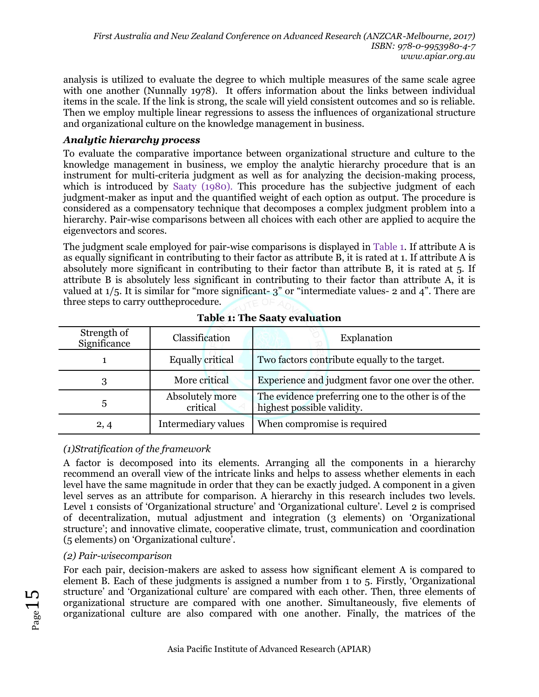analysis is utilized to evaluate the degree to which multiple measures of the same scale agree with one another (Nunnally 1978). It offers information about the links between individual items in the scale. If the link is strong, the scale will yield consistent outcomes and so is reliable. Then we employ multiple linear regressions to assess the influences of organizational structure and organizational culture on the knowledge management in business.

#### *Analytic hierarchy process*

To evaluate the comparative importance between organizational structure and culture to the knowledge management in business, we employ the analytic hierarchy procedure that is an instrument for multi-criteria judgment as well as for analyzing the decision-making process, which is introduced by Saaty (1980). This procedure has the subjective judgment of each judgment-maker as input and the quantified weight of each option as output. The procedure is considered as a compensatory technique that decomposes a complex judgment problem into a hierarchy. Pair-wise comparisons between all choices with each other are applied to acquire the eigenvectors and scores.

The judgment scale employed for pair-wise comparisons is displayed in Table 1. If attribute A is as equally significant in contributing to their factor as attribute B, it is rated at 1. If attribute A is absolutely more significant in contributing to their factor than attribute B, it is rated at 5. If attribute B is absolutely less significant in contributing to their factor than attribute A, it is valued at  $1/5$ . It is similar for "more significant- 3" or "intermediate values- 2 and 4". There are three steps to carry outtheprocedure.

| Strength of<br>Significance | Classification              | Explanation                                                                      |  |  |  |
|-----------------------------|-----------------------------|----------------------------------------------------------------------------------|--|--|--|
|                             | <b>Equally critical</b>     | Two factors contribute equally to the target.                                    |  |  |  |
| 3                           | More critical               | Experience and judgment favor one over the other.                                |  |  |  |
| $\mathbf b$                 | Absolutely more<br>critical | The evidence preferring one to the other is of the<br>highest possible validity. |  |  |  |
| 2,4                         | Intermediary values         | When compromise is required                                                      |  |  |  |

**Table 1: The Saaty evaluation**

# *(1)Stratification of the framework*

A factor is decomposed into its elements. Arranging all the components in a hierarchy recommend an overall view of the intricate links and helps to assess whether elements in each level have the same magnitude in order that they can be exactly judged. A component in a given level serves as an attribute for comparison. A hierarchy in this research includes two levels. Level 1 consists of 'Organizational structure' and 'Organizational culture'. Level 2 is comprised of decentralization, mutual adjustment and integration (3 elements) on 'Organizational structure'; and innovative climate, cooperative climate, trust, communication and coordination (5 elements) on 'Organizational culture'.

# *(2) Pair-wisecomparison*

For each pair, decision-makers are asked to assess how significant element A is compared to element B. Each of these judgments is assigned a number from 1 to 5. Firstly, 'Organizational structure' and 'Organizational culture' are compared with each other. Then, three elements of organizational structure are compared with one another. Simultaneously, five elements of organizational culture are also compared with one another. Finally, the matrices of the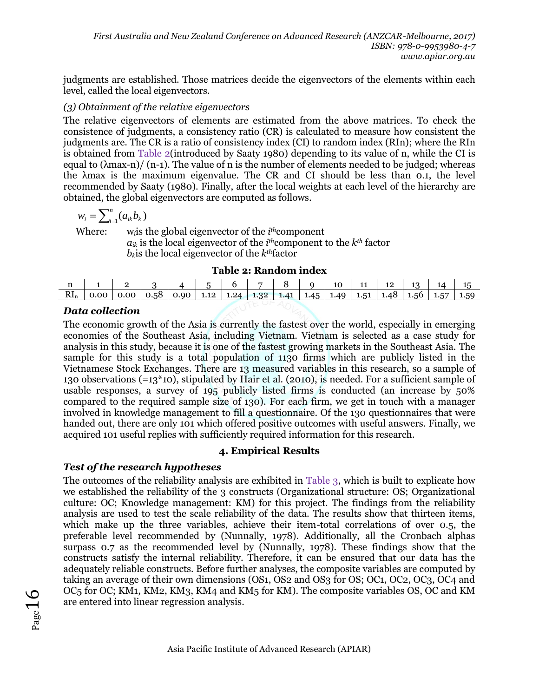judgments are established. Those matrices decide the eigenvectors of the elements within each level, called the local eigenvectors.

#### *(3) Obtainment of the relative eigenvectors*

The relative eigenvectors of elements are estimated from the above matrices. To check the consistence of judgments, a consistency ratio (CR) is calculated to measure how consistent the judgments are. The CR is a ratio of consistency index (CI) to random index (RIn); where the RIn is obtained from Table 2(introduced by Saaty 1980) depending to its value of n, while the CI is equal to  $(\lambda max-n)/(n-1)$ . The value of n is the number of elements needed to be judged; whereas the λmax is the maximum eigenvalue. The CR and CI should be less than 0.1, the level recommended by Saaty (1980). Finally, after the local weights at each level of the hierarchy are obtained, the global eigenvectors are computed as follows.

$$
w_i = \sum_{i=1}^n (a_{ik} b_k)
$$

Where: w*i*is the global eigenvector of the *i th*component  $a_{ik}$  is the local eigenvector of the  $i^{th}$ component to the  $k^{th}$  factor  $b_k$ is the local eigenvector of the  $k^{th}$ factor

**Table 2: Random index**

| -11             |  |     |              |  |                             | 10            | ᆠ           | --  |        | 14 |      |
|-----------------|--|-----|--------------|--|-----------------------------|---------------|-------------|-----|--------|----|------|
| $\mathrm{RI}_n$ |  | .58 | $0.90 \perp$ |  | $1.12$   1.24   1.32   1.41 | $1.45$   1.49 | $1.51$   1. | AX. | 1.56 l |    | 1.59 |

# *Data collection*

The economic growth of the Asia is currently the fastest over the world, especially in emerging economies of the Southeast Asia, including Vietnam. Vietnam is selected as a case study for analysis in this study, because it is one of the fastest growing markets in the Southeast Asia. The sample for this study is a total population of 1130 firms which are publicly listed in the Vietnamese Stock Exchanges. There are 13 measured variables in this research, so a sample of 130 observations (=13\*10), stipulated by Hair et al. (2010), is needed. For a sufficient sample of usable responses, a survey of 195 publicly listed firms is conducted (an increase by 50% compared to the required sample size of 130). For each firm, we get in touch with a manager involved in knowledge management to fill a questionnaire. Of the 130 questionnaires that were handed out, there are only 101 which offered positive outcomes with useful answers. Finally, we acquired 101 useful replies with sufficiently required information for this research.

# **4. Empirical Results**

# *Test of the research hypotheses*

The outcomes of the reliability analysis are exhibited in Table 3, which is built to explicate how we established the reliability of the 3 constructs (Organizational structure: OS; Organizational culture: OC; Knowledge management: KM) for this project. The findings from the reliability analysis are used to test the scale reliability of the data. The results show that thirteen items, which make up the three variables, achieve their item-total correlations of over 0.5, the preferable level recommended by (Nunnally, 1978). Additionally, all the Cronbach alphas surpass 0.7 as the recommended level by (Nunnally, 1978). These findings show that the constructs satisfy the internal reliability. Therefore, it can be ensured that our data has the adequately reliable constructs. Before further analyses, the composite variables are computed by taking an average of their own dimensions (OS1, OS2 and OS3 for OS; OC1, OC2, OC3, OC4 and OC5 for OC; KM1, KM2, KM3, KM4 and KM5 for KM). The composite variables OS, OC and KM are entered into linear regression analysis.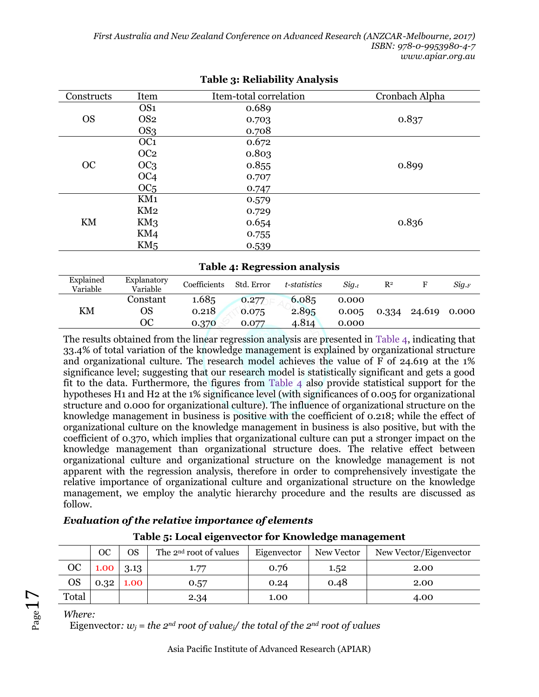| Constructs | Item            | Item-total correlation | Cronbach Alpha |
|------------|-----------------|------------------------|----------------|
|            | OS <sub>1</sub> | 0.689                  |                |
| <b>OS</b>  | OS <sub>2</sub> | 0.703                  | 0.837          |
|            | OS3             | 0.708                  |                |
|            | OC <sub>1</sub> | 0.672                  |                |
| OC         | OC <sub>2</sub> | 0.803                  |                |
|            | OC <sub>3</sub> | 0.855                  | 0.899          |
|            | OC <sub>4</sub> | 0.707                  |                |
|            | OC <sub>5</sub> | 0.747                  |                |
|            | KM1             | 0.579                  |                |
|            | KM2             | 0.729                  |                |
| KM         | KM3             | 0.654                  | 0.836          |
|            | KM4             | 0.755                  |                |
|            | KM <sub>5</sub> | 0.539                  |                |

#### **Table 3: Reliability Analysis**

#### **Table 4: Regression analysis**

| Explained<br>Variable | Explanatory<br>Variable | Coefficients   | Std. Error     | t-statistics   | Sia.t          | $\mathbb{R}^2$ |        | Sig.F |
|-----------------------|-------------------------|----------------|----------------|----------------|----------------|----------------|--------|-------|
| KM                    | Constant<br>OS          | 1.685<br>0.218 | 0.277<br>0.075 | 6.085<br>2.895 | 0.000<br>0.005 | 0.334          | 24.619 | 0.000 |
|                       | ОC                      | 0.370          | 0.077          | 4.814          | 0.000          |                |        |       |

The results obtained from the linear regression analysis are presented in Table 4, indicating that 33.4% of total variation of the knowledge management is explained by organizational structure and organizational culture. The research model achieves the value of F of 24.619 at the 1% significance level; suggesting that our research model is statistically significant and gets a good fit to the data. Furthermore, the figures from Table 4 also provide statistical support for the hypotheses H1 and H2 at the 1% significance level (with significances of 0.005 for organizational structure and 0.000 for organizational culture). The influence of organizational structure on the knowledge management in business is positive with the coefficient of 0.218; while the effect of organizational culture on the knowledge management in business is also positive, but with the coefficient of 0.370, which implies that organizational culture can put a stronger impact on the knowledge management than organizational structure does. The relative effect between organizational culture and organizational structure on the knowledge management is not apparent with the regression analysis, therefore in order to comprehensively investigate the relative importance of organizational culture and organizational structure on the knowledge management, we employ the analytic hierarchy procedure and the results are discussed as follow.

# *Evaluation of the relative importance of elements*

|           | ОC                | OS               | The 2 <sup>nd</sup> root of values | Eigenvector | New Vector | New Vector/Eigenvector |
|-----------|-------------------|------------------|------------------------------------|-------------|------------|------------------------|
| OC        | $1.00 \quad 3.13$ |                  | 1.77                               | 0.76        | 1.52       | 2.00                   |
| <b>OS</b> |                   | $0.32 \mid 1.00$ | 0.57                               | 0.24        | 0.48       | 2.00                   |
| Total     |                   |                  | 2.34                               | 1.00        |            | 4.00                   |

# **Table 5: Local eigenvector for Knowledge management**

*Where:*

 $P_{\text{age}}17$ 

Eigenvector:  $w_i$  = the 2<sup>*nd*</sup> root of value<sub>i</sub>/ the total of the 2<sup>*nd*</sup> root of values

Asia Pacific Institute of Advanced Research (APIAR)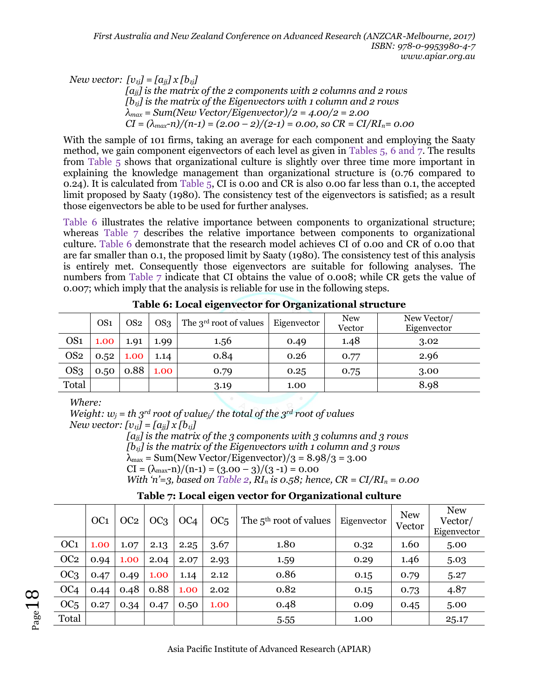*New vector:*  $[v_{ij}] = [a_{jj}] \times [b_{ij}]$ 

*[ajj] is the matrix of the 2 components with 2 columns and 2 rows [b1j] is the matrix of the Eigenvectors with 1 column and 2 rows λmax = Sum(New Vector/Eigenvector)/2 = 4.00/2 = 2.00*  $CI = (\lambda_{max} - n)/(n-1) = (2.00 - 2)/(2-1) = 0.00$ , so  $CR = CI/RI<sub>n</sub> = 0.00$ 

With the sample of 101 firms, taking an average for each component and employing the Saaty method, we gain component eigenvectors of each level as given in Tables 5, 6 and 7. The results from Table 5 shows that organizational culture is slightly over three time more important in explaining the knowledge management than organizational structure is (0.76 compared to 0.24). It is calculated from Table 5, CI is 0.00 and CR is also 0.00 far less than 0.1, the accepted limit proposed by Saaty (1980). The consistency test of the eigenvectors is satisfied; as a result those eigenvectors be able to be used for further analyses.

Table 6 illustrates the relative importance between components to organizational structure; whereas Table 7 describes the relative importance between components to organizational culture. Table 6 demonstrate that the research model achieves CI of 0.00 and CR of 0.00 that are far smaller than 0.1, the proposed limit by Saaty (1980). The consistency test of this analysis is entirely met. Consequently those eigenvectors are suitable for following analyses. The numbers from Table 7 indicate that CI obtains the value of 0.008; while CR gets the value of 0.007; which imply that the analysis is reliable for use in the following steps.

| OS <sub>1</sub> | OS <sub>2</sub> | OS <sub>3</sub> | The 3 <sup>rd</sup> root of values | Eigenvector | <b>New</b><br>Vector | New Vector/<br>Eigenvector |  |  |  |  |
|-----------------|-----------------|-----------------|------------------------------------|-------------|----------------------|----------------------------|--|--|--|--|
| 1.00            | 1.91            | 1.99            | 1.56                               | 0.49        | 1.48                 | 3.02                       |  |  |  |  |
| 0.52            | 1.00            | 1.14            | 0.84                               | 0.26        | 0.77                 | 2.96                       |  |  |  |  |
| 0.50            | 0.88            | 1.00            | 0.79                               | 0.25        | 0.75                 | 3.00                       |  |  |  |  |
|                 |                 |                 | 3.19                               | 1.00        |                      | 8.98                       |  |  |  |  |
|                 |                 |                 |                                    | $\cdot$     |                      |                            |  |  |  |  |

**Table 6: Local eigenvector for Organizational structure**

*Where:*

*Weight:*  $w_j = th$   $3^{rd}$  *root of value*<sup> $j$ </sup> *the total of the 3<sup>rd</sup> <i>root of values New vector:*  $[v_{ii}] = [a_{ii}] \times [b_{ii}]$ *[ajj] is the matrix of the 3 components with 3 columns and 3 rows [b1j] is the matrix of the Eigenvectors with 1 column and 3 rows*  $\lambda_{\text{max}}$  = Sum(New Vector/Eigenvector)/3 = 8.98/3 = 3.00  $CI = (\lambda_{\text{max}}-n)/(n-1) = (3.00 - 3)/(3 - 1) = 0.00$ *With 'n'*=*3, based on Table 2, RI<sub>n</sub> is 0.58; hence,*  $CR = CI/RI_n = 0.00$ 

| Table 7: Local eigen vector for Organizational culture |
|--------------------------------------------------------|

|                 | OC <sub>1</sub> | OC2  | OC <sub>3</sub> | OC <sub>4</sub> | OC <sub>5</sub> | The $5th$ root of values | Eigenvector | <b>New</b><br>Vector | <b>New</b><br>Vector/<br>Eigenvector |
|-----------------|-----------------|------|-----------------|-----------------|-----------------|--------------------------|-------------|----------------------|--------------------------------------|
| OC <sub>1</sub> | 1.00            | 1.07 | 2.13            | 2.25            | 3.67            | 1.80                     | 0.32        | 1.60                 | 5.00                                 |
| OC <sub>2</sub> | 0.94            | 1.00 | 2.04            | 2.07            | 2.93            | 1.59                     | 0.29        | 1.46                 | 5.03                                 |
| OC <sub>3</sub> | 0.47            | 0.49 | 1.00            | 1.14            | 2.12            | 0.86                     | 0.15        | 0.79                 | 5.27                                 |
| OC <sub>4</sub> | 0.44            | 0.48 | 0.88            | 1.00            | 2.02            | 0.82                     | 0.15        | 0.73                 | 4.87                                 |
| OC <sub>5</sub> | 0.27            | 0.34 | 0.47            | 0.50            | 1.00            | 0.48                     | 0.09        | 0.45                 | 5.00                                 |
| Total           |                 |      |                 |                 |                 | 5.55                     | 1.00        |                      | 25.17                                |

 $_{\mathrm{Page}}18$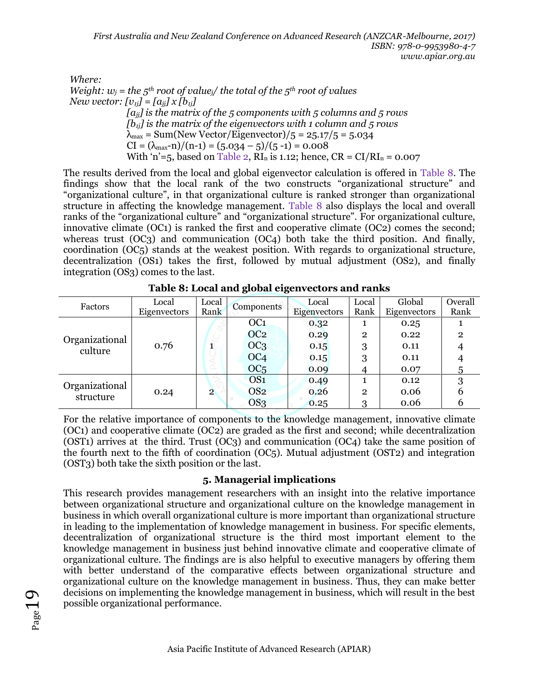*Where:*

*Weight:*  $w_j$  = *the 5<sup>th</sup> root of value<sub>i</sub>/ the total of the 5<sup>th</sup> <i>root of values New vector:*  $[v_{ij}] = [a_{ij}] \times [b_{ij}]$ *[ajj] is the matrix of the 5 components with 5 columns and 5 rows [b1j] is the matrix of the eigenvectors with 1 column and 5 rows*

 $\lambda_{\text{max}}$  = Sum(New Vector/Eigenvector)/5 = 25.17/5 = 5.034  $CI = (\lambda_{\text{max}}-n)/(n-1) = (5.034-5)/(5-1) = 0.008$ 

With 'n'=5, based on Table 2,  $RI_n$  is 1.12; hence,  $CR = CI/RI_n = 0.007$ 

The results derived from the local and global eigenvector calculation is offered in Table 8. The findings show that the local rank of the two constructs "organizational structure" and "organizational culture", in that organizational culture is ranked stronger than organizational structure in affecting the knowledge management. Table 8 also displays the local and overall ranks of the "organizational culture" and "organizational structure". For organizational culture, innovative climate (OC1) is ranked the first and cooperative climate (OC2) comes the second; whereas trust (OC<sub>3</sub>) and communication (OC<sub>4</sub>) both take the third position. And finally, coordination (OC5) stands at the weakest position. With regards to organizational structure, decentralization (OS1) takes the first, followed by mutual adjustment (OS2), and finally integration (OS3) comes to the last.

| ື<br>ັ                      |                       |                |                 |                       |                |                        |                 |  |  |
|-----------------------------|-----------------------|----------------|-----------------|-----------------------|----------------|------------------------|-----------------|--|--|
| Factors                     | Local<br>Eigenvectors | Local<br>Rank  | Components      | Local<br>Eigenvectors | Local<br>Rank  | Global<br>Eigenvectors | Overall<br>Rank |  |  |
| Organizational<br>culture   |                       |                | OC <sub>1</sub> | 0.32                  | л.             | 0.25                   |                 |  |  |
|                             |                       |                | OC <sub>2</sub> | 0.29                  | $\overline{2}$ | 0.22                   | $\overline{2}$  |  |  |
|                             | 0.76                  | $\mathbf{1}$   | OC <sub>3</sub> | 0.15                  | 3              | 0.11                   |                 |  |  |
|                             |                       |                | OC <sub>4</sub> | 0.15                  | 3              | 0.11                   |                 |  |  |
|                             |                       |                | OC <sub>5</sub> | 0.09                  |                | 0.07                   | 5               |  |  |
| Organizational<br>structure |                       |                | OS <sub>1</sub> | 0.49                  |                | 0.12                   | 3               |  |  |
|                             | 0.24                  | $\overline{2}$ | OS <sub>2</sub> | 0.26                  | $\overline{2}$ | 0.06                   |                 |  |  |
|                             |                       |                | OS3             | 0.25                  | 3              | 0.06                   |                 |  |  |

**Table 8: Local and global eigenvectors and ranks**

For the relative importance of components to the knowledge management, innovative climate (OC1) and cooperative climate (OC2) are graded as the first and second; while decentralization (OST1) arrives at the third. Trust (OC3) and communication (OC4) take the same position of the fourth next to the fifth of coordination (OC5). Mutual adjustment (OST2) and integration (OST3) both take the sixth position or the last.

# **5. Managerial implications**

This research provides management researchers with an insight into the relative importance between organizational structure and organizational culture on the knowledge management in business in which overall organizational culture is more important than organizational structure in leading to the implementation of knowledge management in business. For specific elements, decentralization of organizational structure is the third most important element to the knowledge management in business just behind innovative climate and cooperative climate of organizational culture. The findings are is also helpful to executive managers by offering them with better understand of the comparative effects between organizational structure and organizational culture on the knowledge management in business. Thus, they can make better decisions on implementing the knowledge management in business, which will result in the best possible organizational performance.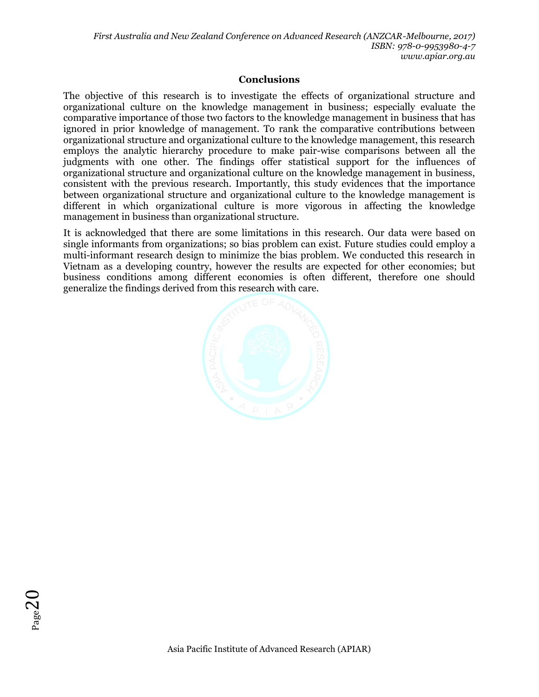*First Australia and New Zealand Conference on Advanced Research (ANZCAR-Melbourne, 2017) ISBN: 978-0-9953980-4-7 www.apiar.org.au* 

#### **Conclusions**

The objective of this research is to investigate the effects of organizational structure and organizational culture on the knowledge management in business; especially evaluate the comparative importance of those two factors to the knowledge management in business that has ignored in prior knowledge of management. To rank the comparative contributions between organizational structure and organizational culture to the knowledge management, this research employs the analytic hierarchy procedure to make pair-wise comparisons between all the judgments with one other. The findings offer statistical support for the influences of organizational structure and organizational culture on the knowledge management in business, consistent with the previous research. Importantly, this study evidences that the importance between organizational structure and organizational culture to the knowledge management is different in which organizational culture is more vigorous in affecting the knowledge management in business than organizational structure.

It is acknowledged that there are some limitations in this research. Our data were based on single informants from organizations; so bias problem can exist. Future studies could employ a multi-informant research design to minimize the bias problem. We conducted this research in Vietnam as a developing country, however the results are expected for other economies; but business conditions among different economies is often different, therefore one should generalize the findings derived from this research with care.



 $P_{\text{age}}20$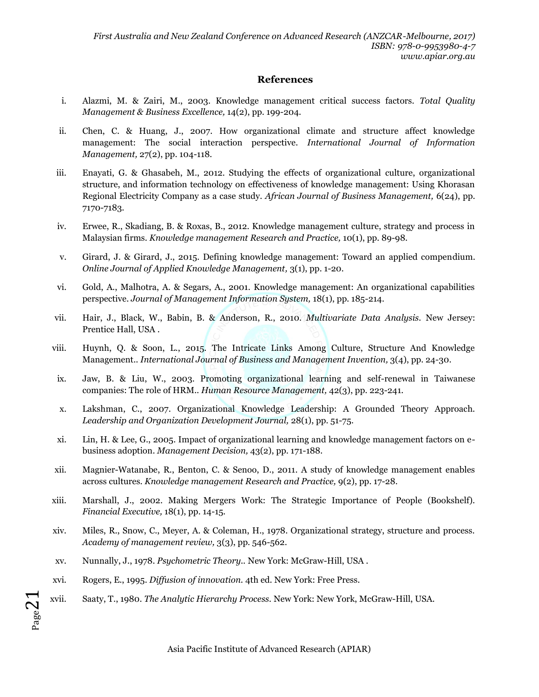#### **References**

- i. Alazmi, M. & Zairi, M., 2003. Knowledge management critical success factors. *Total Quality Management & Business Excellence,* 14(2), pp. 199-204.
- ii. Chen, C. & Huang, J., 2007. How organizational climate and structure affect knowledge management: The social interaction perspective. *International Journal of Information Management,* 27(2), pp. 104-118.
- iii. Enayati, G. & Ghasabeh, M., 2012. Studying the effects of organizational culture, organizational structure, and information technology on effectiveness of knowledge management: Using Khorasan Regional Electricity Company as a case study. *African Journal of Business Management,* 6(24), pp. 7170-7183.
- iv. Erwee, R., Skadiang, B. & Roxas, B., 2012. Knowledge management culture, strategy and process in Malaysian firms. *Knowledge management Research and Practice,* 10(1), pp. 89-98.
- v. Girard, J. & Girard, J., 2015. Defining knowledge management: Toward an applied compendium. *Online Journal of Applied Knowledge Management,* 3(1), pp. 1-20.
- vi. Gold, A., Malhotra, A. & Segars, A., 2001. Knowledge management: An organizational capabilities perspective. *Journal of Management Information System,* 18(1), pp. 185-214.
- vii. Hair, J., Black, W., Babin, B. & Anderson, R., 2010. *Multivariate Data Analysis.* New Jersey: Prentice Hall, USA .
- viii. Huynh, Q. & Soon, L., 2015. The Intricate Links Among Culture, Structure And Knowledge Management.. *International Journal of Business and Management Invention,* 3(4), pp. 24-30.
- ix. Jaw, B. & Liu, W., 2003. Promoting organizational learning and self-renewal in Taiwanese companies: The role of HRM.. *Human Resource Management,* 42(3), pp. 223-241.
- x. Lakshman, C., 2007. Organizational Knowledge Leadership: A Grounded Theory Approach. *Leadership and Organization Development Journal,* 28(1), pp. 51-75.
- xi. Lin, H. & Lee, G., 2005. Impact of organizational learning and knowledge management factors on ebusiness adoption. *Management Decision,* 43(2), pp. 171-188.
- xii. Magnier-Watanabe, R., Benton, C. & Senoo, D., 2011. A study of knowledge management enables across cultures. *Knowledge management Research and Practice,* 9(2), pp. 17-28.
- xiii. Marshall, J., 2002. Making Mergers Work: The Strategic Importance of People (Bookshelf). *Financial Executive,* 18(1), pp. 14-15.
- xiv. Miles, R., Snow, C., Meyer, A. & Coleman, H., 1978. Organizational strategy, structure and process. *Academy of management review,* 3(3), pp. 546-562.
- xv. Nunnally, J., 1978. *Psychometric Theory..* New York: McGraw-Hill, USA .
- xvi. Rogers, E., 1995. *Diffusion of innovation.* 4th ed. New York: Free Press.

 $Page21$ 

xvii. Saaty, T., 1980. *The Analytic Hierarchy Process.* New York: New York, McGraw-Hill, USA.